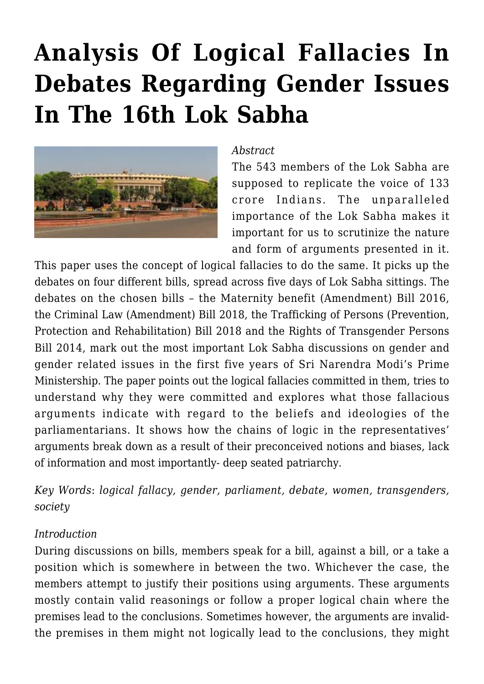# **[Analysis Of Logical Fallacies In](https://rozenbergquarterly.com/analysis-of-logical-fallacies-in-debates-regarding-gender-issues-in-the-16th-lok-sabha/) [Debates Regarding Gender Issues](https://rozenbergquarterly.com/analysis-of-logical-fallacies-in-debates-regarding-gender-issues-in-the-16th-lok-sabha/) [In The 16th Lok Sabha](https://rozenbergquarterly.com/analysis-of-logical-fallacies-in-debates-regarding-gender-issues-in-the-16th-lok-sabha/)**



#### *Abstract*

The 543 members of the Lok Sabha are supposed to replicate the voice of 133 crore Indians. The unparalleled importance of the Lok Sabha makes it important for us to scrutinize the nature and form of arguments presented in it.

This paper uses the concept of logical fallacies to do the same. It picks up the debates on four different bills, spread across five days of Lok Sabha sittings. The debates on the chosen bills – the Maternity benefit (Amendment) Bill 2016, the Criminal Law (Amendment) Bill 2018, the Trafficking of Persons (Prevention, Protection and Rehabilitation) Bill 2018 and the Rights of Transgender Persons Bill 2014, mark out the most important Lok Sabha discussions on gender and gender related issues in the first five years of Sri Narendra Modi's Prime Ministership. The paper points out the logical fallacies committed in them, tries to understand why they were committed and explores what those fallacious arguments indicate with regard to the beliefs and ideologies of the parliamentarians. It shows how the chains of logic in the representatives' arguments break down as a result of their preconceived notions and biases, lack of information and most importantly- deep seated patriarchy.

*Key Words*: *logical fallacy, gender, parliament, debate, women, transgenders, society*

#### *Introduction*

During discussions on bills, members speak for a bill, against a bill, or a take a position which is somewhere in between the two. Whichever the case, the members attempt to justify their positions using arguments. These arguments mostly contain valid reasonings or follow a proper logical chain where the premises lead to the conclusions. Sometimes however, the arguments are invalidthe premises in them might not logically lead to the conclusions, they might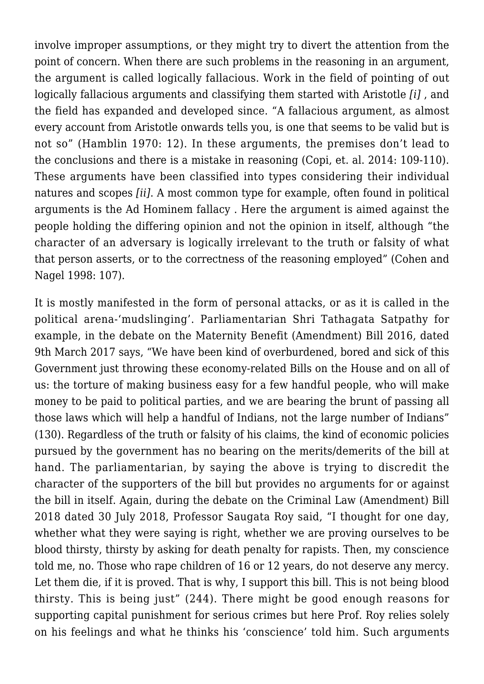involve improper assumptions, or they might try to divert the attention from the point of concern. When there are such problems in the reasoning in an argument, the argument is called logically fallacious. Work in the field of pointing of out logically fallacious arguments and classifying them started with Aristotle *[i]* , and the field has expanded and developed since. "A fallacious argument, as almost every account from Aristotle onwards tells you, is one that seems to be valid but is not so" (Hamblin 1970: 12). In these arguments, the premises don't lead to the conclusions and there is a mistake in reasoning (Copi, et. al. 2014: 109-110). These arguments have been classified into types considering their individual natures and scopes *[ii]*. A most common type for example, often found in political arguments is the Ad Hominem fallacy . Here the argument is aimed against the people holding the differing opinion and not the opinion in itself, although "the character of an adversary is logically irrelevant to the truth or falsity of what that person asserts, or to the correctness of the reasoning employed" (Cohen and Nagel 1998: 107).

It is mostly manifested in the form of personal attacks, or as it is called in the political arena-'mudslinging'. Parliamentarian Shri Tathagata Satpathy for example, in the debate on the Maternity Benefit (Amendment) Bill 2016, dated 9th March 2017 says, "We have been kind of overburdened, bored and sick of this Government just throwing these economy-related Bills on the House and on all of us: the torture of making business easy for a few handful people, who will make money to be paid to political parties, and we are bearing the brunt of passing all those laws which will help a handful of Indians, not the large number of Indians" (130). Regardless of the truth or falsity of his claims, the kind of economic policies pursued by the government has no bearing on the merits/demerits of the bill at hand. The parliamentarian, by saying the above is trying to discredit the character of the supporters of the bill but provides no arguments for or against the bill in itself. Again, during the debate on the Criminal Law (Amendment) Bill 2018 dated 30 July 2018, Professor Saugata Roy said, "I thought for one day, whether what they were saying is right, whether we are proving ourselves to be blood thirsty, thirsty by asking for death penalty for rapists. Then, my conscience told me, no. Those who rape children of 16 or 12 years, do not deserve any mercy. Let them die, if it is proved. That is why, I support this bill. This is not being blood thirsty. This is being just" (244). There might be good enough reasons for supporting capital punishment for serious crimes but here Prof. Roy relies solely on his feelings and what he thinks his 'conscience' told him. Such arguments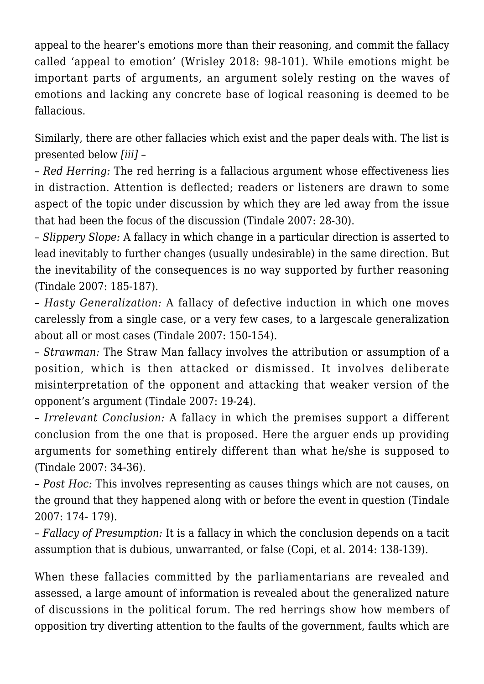appeal to the hearer's emotions more than their reasoning, and commit the fallacy called 'appeal to emotion' (Wrisley 2018: 98-101). While emotions might be important parts of arguments, an argument solely resting on the waves of emotions and lacking any concrete base of logical reasoning is deemed to be fallacious.

Similarly, there are other fallacies which exist and the paper deals with. The list is presented below *[iii]* –

– *Red Herring:* The red herring is a fallacious argument whose effectiveness lies in distraction. Attention is deflected; readers or listeners are drawn to some aspect of the topic under discussion by which they are led away from the issue that had been the focus of the discussion (Tindale 2007: 28-30).

– *Slippery Slope:* A fallacy in which change in a particular direction is asserted to lead inevitably to further changes (usually undesirable) in the same direction. But the inevitability of the consequences is no way supported by further reasoning (Tindale 2007: 185-187).

– *Hasty Generalization:* A fallacy of defective induction in which one moves carelessly from a single case, or a very few cases, to a largescale generalization about all or most cases (Tindale 2007: 150-154).

– *Strawman:* The Straw Man fallacy involves the attribution or assumption of a position, which is then attacked or dismissed. It involves deliberate misinterpretation of the opponent and attacking that weaker version of the opponent's argument (Tindale 2007: 19-24).

– *Irrelevant Conclusion:* A fallacy in which the premises support a different conclusion from the one that is proposed. Here the arguer ends up providing arguments for something entirely different than what he/she is supposed to (Tindale 2007: 34-36).

– *Post Hoc:* This involves representing as causes things which are not causes, on the ground that they happened along with or before the event in question (Tindale 2007: 174- 179).

– *Fallacy of Presumption:* It is a fallacy in which the conclusion depends on a tacit assumption that is dubious, unwarranted, or false (Copi, et al. 2014: 138-139).

When these fallacies committed by the parliamentarians are revealed and assessed, a large amount of information is revealed about the generalized nature of discussions in the political forum. The red herrings show how members of opposition try diverting attention to the faults of the government, faults which are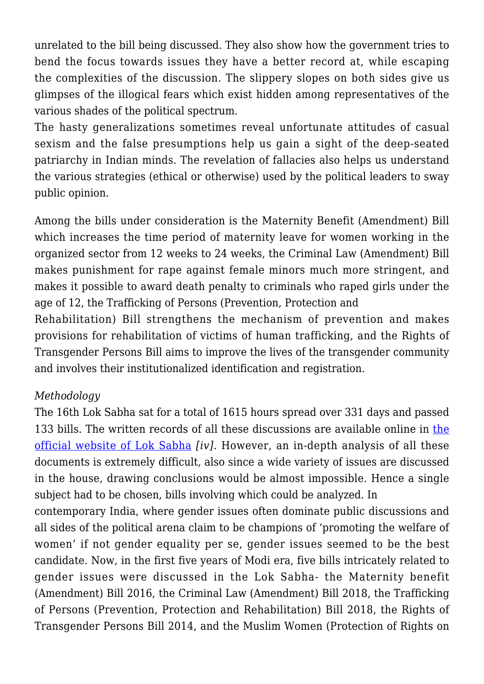unrelated to the bill being discussed. They also show how the government tries to bend the focus towards issues they have a better record at, while escaping the complexities of the discussion. The slippery slopes on both sides give us glimpses of the illogical fears which exist hidden among representatives of the various shades of the political spectrum.

The hasty generalizations sometimes reveal unfortunate attitudes of casual sexism and the false presumptions help us gain a sight of the deep-seated patriarchy in Indian minds. The revelation of fallacies also helps us understand the various strategies (ethical or otherwise) used by the political leaders to sway public opinion.

Among the bills under consideration is the Maternity Benefit (Amendment) Bill which increases the time period of maternity leave for women working in the organized sector from 12 weeks to 24 weeks, the Criminal Law (Amendment) Bill makes punishment for rape against female minors much more stringent, and makes it possible to award death penalty to criminals who raped girls under the age of 12, the Trafficking of Persons (Prevention, Protection and

Rehabilitation) Bill strengthens the mechanism of prevention and makes provisions for rehabilitation of victims of human trafficking, and the Rights of Transgender Persons Bill aims to improve the lives of the transgender community and involves their institutionalized identification and registration.

# *Methodology*

The 16th Lok Sabha sat for a total of 1615 hours spread over 331 days and passed 133 bills. The written records of all [the](http://loksabhaph.nic.in/Debates/textofdebate.aspx)se discussions are available online in the [official website of Lok Sabha](http://loksabhaph.nic.in/Debates/textofdebate.aspx) *[iv]*. However, an in-depth analysis of all these documents is extremely difficult, also since a wide variety of issues are discussed in the house, drawing conclusions would be almost impossible. Hence a single subject had to be chosen, bills involving which could be analyzed. In

contemporary India, where gender issues often dominate public discussions and all sides of the political arena claim to be champions of 'promoting the welfare of women' if not gender equality per se, gender issues seemed to be the best candidate. Now, in the first five years of Modi era, five bills intricately related to gender issues were discussed in the Lok Sabha- the Maternity benefit (Amendment) Bill 2016, the Criminal Law (Amendment) Bill 2018, the Trafficking of Persons (Prevention, Protection and Rehabilitation) Bill 2018, the Rights of Transgender Persons Bill 2014, and the Muslim Women (Protection of Rights on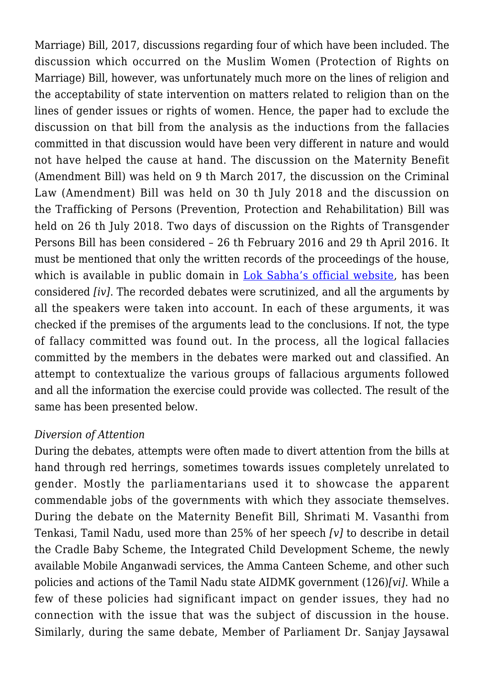Marriage) Bill, 2017, discussions regarding four of which have been included. The discussion which occurred on the Muslim Women (Protection of Rights on Marriage) Bill, however, was unfortunately much more on the lines of religion and the acceptability of state intervention on matters related to religion than on the lines of gender issues or rights of women. Hence, the paper had to exclude the discussion on that bill from the analysis as the inductions from the fallacies committed in that discussion would have been very different in nature and would not have helped the cause at hand. The discussion on the Maternity Benefit (Amendment Bill) was held on 9 th March 2017, the discussion on the Criminal Law (Amendment) Bill was held on 30 th July 2018 and the discussion on the Trafficking of Persons (Prevention, Protection and Rehabilitation) Bill was held on 26 th July 2018. Two days of discussion on the Rights of Transgender Persons Bill has been considered – 26 th February 2016 and 29 th April 2016. It must be mentioned that only the written records of the proceedings of the house, which is available in public domain in [Lok Sabha's official website,](http://loksabhaph.nic.in/Debates/textofdebate.aspx) has been considered *[iv]*. The recorded debates were scrutinized, and all the arguments by all the speakers were taken into account. In each of these arguments, it was checked if the premises of the arguments lead to the conclusions. If not, the type of fallacy committed was found out. In the process, all the logical fallacies committed by the members in the debates were marked out and classified. An attempt to contextualize the various groups of fallacious arguments followed and all the information the exercise could provide was collected. The result of the same has been presented below.

#### *Diversion of Attention*

During the debates, attempts were often made to divert attention from the bills at hand through red herrings, sometimes towards issues completely unrelated to gender. Mostly the parliamentarians used it to showcase the apparent commendable jobs of the governments with which they associate themselves. During the debate on the Maternity Benefit Bill, Shrimati M. Vasanthi from Tenkasi, Tamil Nadu, used more than 25% of her speech *[v]* to describe in detail the Cradle Baby Scheme, the Integrated Child Development Scheme, the newly available Mobile Anganwadi services, the Amma Canteen Scheme, and other such policies and actions of the Tamil Nadu state AIDMK government (126)*[vi]*. While a few of these policies had significant impact on gender issues, they had no connection with the issue that was the subject of discussion in the house. Similarly, during the same debate, Member of Parliament Dr. Sanjay Jaysawal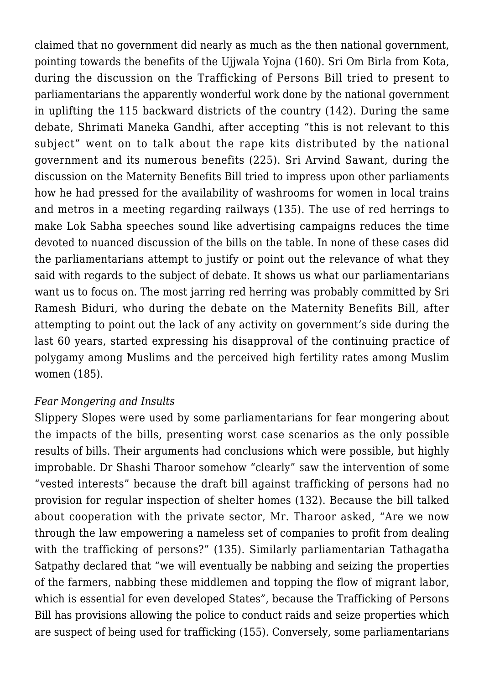claimed that no government did nearly as much as the then national government, pointing towards the benefits of the Ujjwala Yojna (160). Sri Om Birla from Kota, during the discussion on the Trafficking of Persons Bill tried to present to parliamentarians the apparently wonderful work done by the national government in uplifting the 115 backward districts of the country (142). During the same debate, Shrimati Maneka Gandhi, after accepting "this is not relevant to this subject" went on to talk about the rape kits distributed by the national government and its numerous benefits (225). Sri Arvind Sawant, during the discussion on the Maternity Benefits Bill tried to impress upon other parliaments how he had pressed for the availability of washrooms for women in local trains and metros in a meeting regarding railways (135). The use of red herrings to make Lok Sabha speeches sound like advertising campaigns reduces the time devoted to nuanced discussion of the bills on the table. In none of these cases did the parliamentarians attempt to justify or point out the relevance of what they said with regards to the subject of debate. It shows us what our parliamentarians want us to focus on. The most jarring red herring was probably committed by Sri Ramesh Biduri, who during the debate on the Maternity Benefits Bill, after attempting to point out the lack of any activity on government's side during the last 60 years, started expressing his disapproval of the continuing practice of polygamy among Muslims and the perceived high fertility rates among Muslim women (185).

## *Fear Mongering and Insults*

Slippery Slopes were used by some parliamentarians for fear mongering about the impacts of the bills, presenting worst case scenarios as the only possible results of bills. Their arguments had conclusions which were possible, but highly improbable. Dr Shashi Tharoor somehow "clearly" saw the intervention of some "vested interests" because the draft bill against trafficking of persons had no provision for regular inspection of shelter homes (132). Because the bill talked about cooperation with the private sector, Mr. Tharoor asked, "Are we now through the law empowering a nameless set of companies to profit from dealing with the trafficking of persons?" (135). Similarly parliamentarian Tathagatha Satpathy declared that "we will eventually be nabbing and seizing the properties of the farmers, nabbing these middlemen and topping the flow of migrant labor, which is essential for even developed States", because the Trafficking of Persons Bill has provisions allowing the police to conduct raids and seize properties which are suspect of being used for trafficking (155). Conversely, some parliamentarians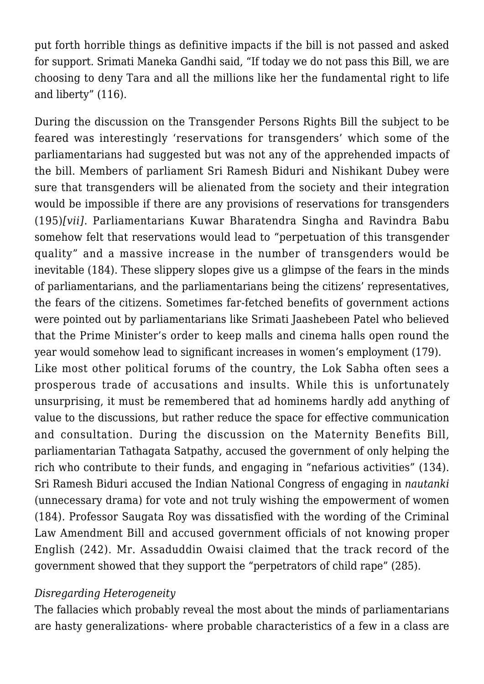put forth horrible things as definitive impacts if the bill is not passed and asked for support. Srimati Maneka Gandhi said, "If today we do not pass this Bill, we are choosing to deny Tara and all the millions like her the fundamental right to life and liberty" (116).

During the discussion on the Transgender Persons Rights Bill the subject to be feared was interestingly 'reservations for transgenders' which some of the parliamentarians had suggested but was not any of the apprehended impacts of the bill. Members of parliament Sri Ramesh Biduri and Nishikant Dubey were sure that transgenders will be alienated from the society and their integration would be impossible if there are any provisions of reservations for transgenders (195)*[vii]*. Parliamentarians Kuwar Bharatendra Singha and Ravindra Babu somehow felt that reservations would lead to "perpetuation of this transgender quality" and a massive increase in the number of transgenders would be inevitable (184). These slippery slopes give us a glimpse of the fears in the minds of parliamentarians, and the parliamentarians being the citizens' representatives, the fears of the citizens. Sometimes far-fetched benefits of government actions were pointed out by parliamentarians like Srimati Jaashebeen Patel who believed that the Prime Minister's order to keep malls and cinema halls open round the year would somehow lead to significant increases in women's employment (179).

Like most other political forums of the country, the Lok Sabha often sees a prosperous trade of accusations and insults. While this is unfortunately unsurprising, it must be remembered that ad hominems hardly add anything of value to the discussions, but rather reduce the space for effective communication and consultation. During the discussion on the Maternity Benefits Bill, parliamentarian Tathagata Satpathy, accused the government of only helping the rich who contribute to their funds, and engaging in "nefarious activities" (134). Sri Ramesh Biduri accused the Indian National Congress of engaging in *nautanki* (unnecessary drama) for vote and not truly wishing the empowerment of women (184). Professor Saugata Roy was dissatisfied with the wording of the Criminal Law Amendment Bill and accused government officials of not knowing proper English (242). Mr. Assaduddin Owaisi claimed that the track record of the government showed that they support the "perpetrators of child rape" (285).

## *Disregarding Heterogeneity*

The fallacies which probably reveal the most about the minds of parliamentarians are hasty generalizations- where probable characteristics of a few in a class are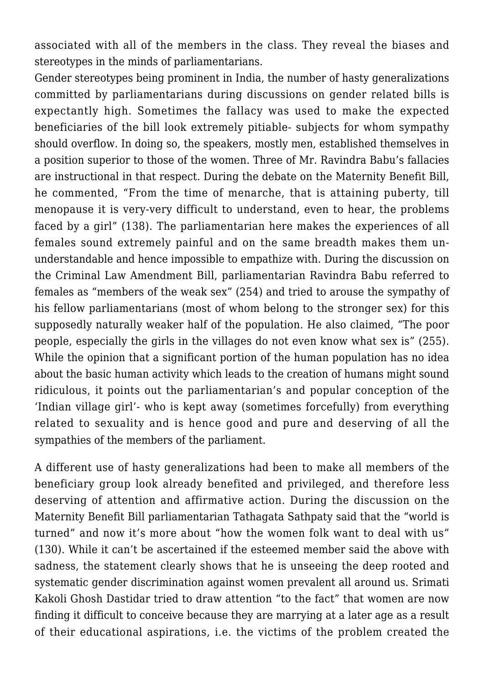associated with all of the members in the class. They reveal the biases and stereotypes in the minds of parliamentarians.

Gender stereotypes being prominent in India, the number of hasty generalizations committed by parliamentarians during discussions on gender related bills is expectantly high. Sometimes the fallacy was used to make the expected beneficiaries of the bill look extremely pitiable- subjects for whom sympathy should overflow. In doing so, the speakers, mostly men, established themselves in a position superior to those of the women. Three of Mr. Ravindra Babu's fallacies are instructional in that respect. During the debate on the Maternity Benefit Bill, he commented, "From the time of menarche, that is attaining puberty, till menopause it is very-very difficult to understand, even to hear, the problems faced by a girl" (138). The parliamentarian here makes the experiences of all females sound extremely painful and on the same breadth makes them ununderstandable and hence impossible to empathize with. During the discussion on the Criminal Law Amendment Bill, parliamentarian Ravindra Babu referred to females as "members of the weak sex" (254) and tried to arouse the sympathy of his fellow parliamentarians (most of whom belong to the stronger sex) for this supposedly naturally weaker half of the population. He also claimed, "The poor people, especially the girls in the villages do not even know what sex is" (255). While the opinion that a significant portion of the human population has no idea about the basic human activity which leads to the creation of humans might sound ridiculous, it points out the parliamentarian's and popular conception of the 'Indian village girl'- who is kept away (sometimes forcefully) from everything related to sexuality and is hence good and pure and deserving of all the sympathies of the members of the parliament.

A different use of hasty generalizations had been to make all members of the beneficiary group look already benefited and privileged, and therefore less deserving of attention and affirmative action. During the discussion on the Maternity Benefit Bill parliamentarian Tathagata Sathpaty said that the "world is turned" and now it's more about "how the women folk want to deal with us" (130). While it can't be ascertained if the esteemed member said the above with sadness, the statement clearly shows that he is unseeing the deep rooted and systematic gender discrimination against women prevalent all around us. Srimati Kakoli Ghosh Dastidar tried to draw attention "to the fact" that women are now finding it difficult to conceive because they are marrying at a later age as a result of their educational aspirations, i.e. the victims of the problem created the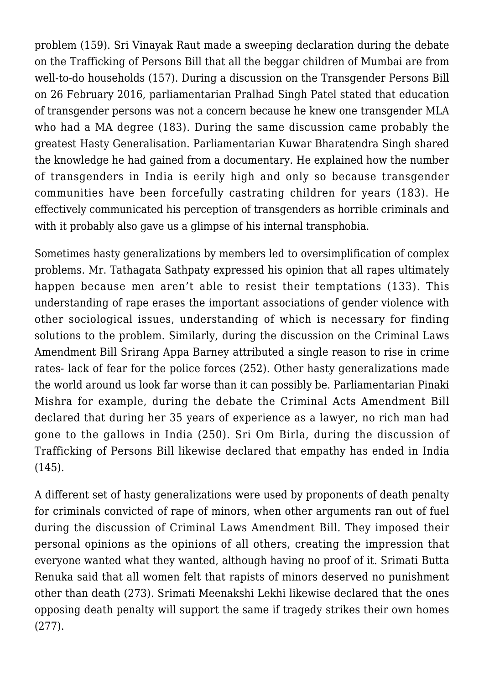problem (159). Sri Vinayak Raut made a sweeping declaration during the debate on the Trafficking of Persons Bill that all the beggar children of Mumbai are from well-to-do households (157). During a discussion on the Transgender Persons Bill on 26 February 2016, parliamentarian Pralhad Singh Patel stated that education of transgender persons was not a concern because he knew one transgender MLA who had a MA degree (183). During the same discussion came probably the greatest Hasty Generalisation. Parliamentarian Kuwar Bharatendra Singh shared the knowledge he had gained from a documentary. He explained how the number of transgenders in India is eerily high and only so because transgender communities have been forcefully castrating children for years (183). He effectively communicated his perception of transgenders as horrible criminals and with it probably also gave us a glimpse of his internal transphobia.

Sometimes hasty generalizations by members led to oversimplification of complex problems. Mr. Tathagata Sathpaty expressed his opinion that all rapes ultimately happen because men aren't able to resist their temptations (133). This understanding of rape erases the important associations of gender violence with other sociological issues, understanding of which is necessary for finding solutions to the problem. Similarly, during the discussion on the Criminal Laws Amendment Bill Srirang Appa Barney attributed a single reason to rise in crime rates- lack of fear for the police forces (252). Other hasty generalizations made the world around us look far worse than it can possibly be. Parliamentarian Pinaki Mishra for example, during the debate the Criminal Acts Amendment Bill declared that during her 35 years of experience as a lawyer, no rich man had gone to the gallows in India (250). Sri Om Birla, during the discussion of Trafficking of Persons Bill likewise declared that empathy has ended in India (145).

A different set of hasty generalizations were used by proponents of death penalty for criminals convicted of rape of minors, when other arguments ran out of fuel during the discussion of Criminal Laws Amendment Bill. They imposed their personal opinions as the opinions of all others, creating the impression that everyone wanted what they wanted, although having no proof of it. Srimati Butta Renuka said that all women felt that rapists of minors deserved no punishment other than death (273). Srimati Meenakshi Lekhi likewise declared that the ones opposing death penalty will support the same if tragedy strikes their own homes (277).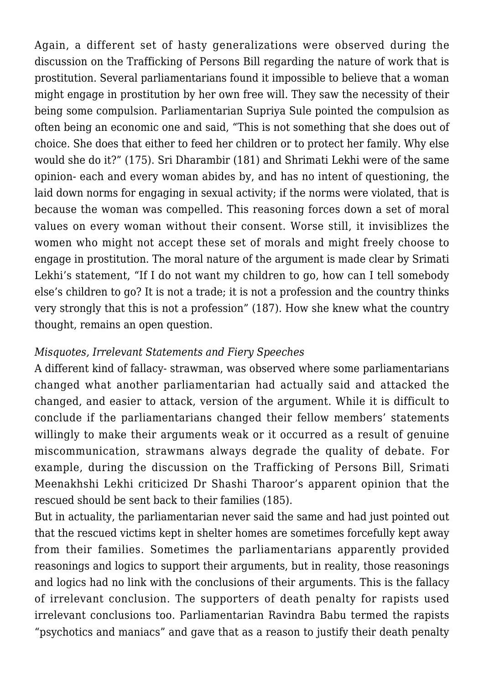Again, a different set of hasty generalizations were observed during the discussion on the Trafficking of Persons Bill regarding the nature of work that is prostitution. Several parliamentarians found it impossible to believe that a woman might engage in prostitution by her own free will. They saw the necessity of their being some compulsion. Parliamentarian Supriya Sule pointed the compulsion as often being an economic one and said, "This is not something that she does out of choice. She does that either to feed her children or to protect her family. Why else would she do it?" (175). Sri Dharambir (181) and Shrimati Lekhi were of the same opinion- each and every woman abides by, and has no intent of questioning, the laid down norms for engaging in sexual activity; if the norms were violated, that is because the woman was compelled. This reasoning forces down a set of moral values on every woman without their consent. Worse still, it invisiblizes the women who might not accept these set of morals and might freely choose to engage in prostitution. The moral nature of the argument is made clear by Srimati Lekhi's statement, "If I do not want my children to go, how can I tell somebody else's children to go? It is not a trade; it is not a profession and the country thinks very strongly that this is not a profession" (187). How she knew what the country thought, remains an open question.

# *Misquotes, Irrelevant Statements and Fiery Speeches*

A different kind of fallacy- strawman, was observed where some parliamentarians changed what another parliamentarian had actually said and attacked the changed, and easier to attack, version of the argument. While it is difficult to conclude if the parliamentarians changed their fellow members' statements willingly to make their arguments weak or it occurred as a result of genuine miscommunication, strawmans always degrade the quality of debate. For example, during the discussion on the Trafficking of Persons Bill, Srimati Meenakhshi Lekhi criticized Dr Shashi Tharoor's apparent opinion that the rescued should be sent back to their families (185).

But in actuality, the parliamentarian never said the same and had just pointed out that the rescued victims kept in shelter homes are sometimes forcefully kept away from their families. Sometimes the parliamentarians apparently provided reasonings and logics to support their arguments, but in reality, those reasonings and logics had no link with the conclusions of their arguments. This is the fallacy of irrelevant conclusion. The supporters of death penalty for rapists used irrelevant conclusions too. Parliamentarian Ravindra Babu termed the rapists "psychotics and maniacs" and gave that as a reason to justify their death penalty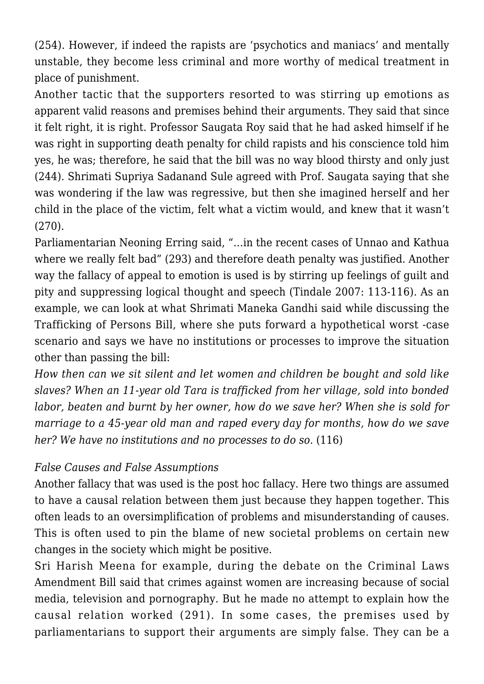(254). However, if indeed the rapists are 'psychotics and maniacs' and mentally unstable, they become less criminal and more worthy of medical treatment in place of punishment.

Another tactic that the supporters resorted to was stirring up emotions as apparent valid reasons and premises behind their arguments. They said that since it felt right, it is right. Professor Saugata Roy said that he had asked himself if he was right in supporting death penalty for child rapists and his conscience told him yes, he was; therefore, he said that the bill was no way blood thirsty and only just (244). Shrimati Supriya Sadanand Sule agreed with Prof. Saugata saying that she was wondering if the law was regressive, but then she imagined herself and her child in the place of the victim, felt what a victim would, and knew that it wasn't (270).

Parliamentarian Neoning Erring said, "…in the recent cases of Unnao and Kathua where we really felt bad" (293) and therefore death penalty was justified. Another way the fallacy of appeal to emotion is used is by stirring up feelings of guilt and pity and suppressing logical thought and speech (Tindale 2007: 113-116). As an example, we can look at what Shrimati Maneka Gandhi said while discussing the Trafficking of Persons Bill, where she puts forward a hypothetical worst -case scenario and says we have no institutions or processes to improve the situation other than passing the bill:

*How then can we sit silent and let women and children be bought and sold like slaves? When an 11-year old Tara is trafficked from her village, sold into bonded labor, beaten and burnt by her owner, how do we save her? When she is sold for marriage to a 45-year old man and raped every day for months, how do we save her? We have no institutions and no processes to do so.* (116)

# *False Causes and False Assumptions*

Another fallacy that was used is the post hoc fallacy. Here two things are assumed to have a causal relation between them just because they happen together. This often leads to an oversimplification of problems and misunderstanding of causes. This is often used to pin the blame of new societal problems on certain new changes in the society which might be positive.

Sri Harish Meena for example, during the debate on the Criminal Laws Amendment Bill said that crimes against women are increasing because of social media, television and pornography. But he made no attempt to explain how the causal relation worked (291). In some cases, the premises used by parliamentarians to support their arguments are simply false. They can be a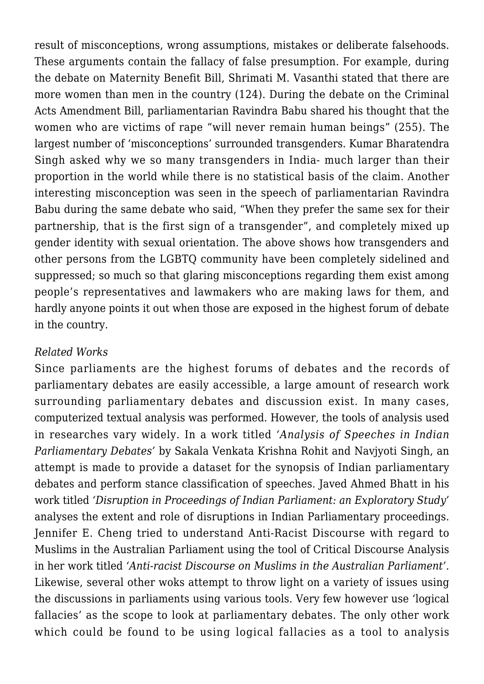result of misconceptions, wrong assumptions, mistakes or deliberate falsehoods. These arguments contain the fallacy of false presumption. For example, during the debate on Maternity Benefit Bill, Shrimati M. Vasanthi stated that there are more women than men in the country (124). During the debate on the Criminal Acts Amendment Bill, parliamentarian Ravindra Babu shared his thought that the women who are victims of rape "will never remain human beings" (255). The largest number of 'misconceptions' surrounded transgenders. Kumar Bharatendra Singh asked why we so many transgenders in India- much larger than their proportion in the world while there is no statistical basis of the claim. Another interesting misconception was seen in the speech of parliamentarian Ravindra Babu during the same debate who said, "When they prefer the same sex for their partnership, that is the first sign of a transgender", and completely mixed up gender identity with sexual orientation. The above shows how transgenders and other persons from the LGBTQ community have been completely sidelined and suppressed; so much so that glaring misconceptions regarding them exist among people's representatives and lawmakers who are making laws for them, and hardly anyone points it out when those are exposed in the highest forum of debate in the country.

## *Related Works*

Since parliaments are the highest forums of debates and the records of parliamentary debates are easily accessible, a large amount of research work surrounding parliamentary debates and discussion exist. In many cases, computerized textual analysis was performed. However, the tools of analysis used in researches vary widely. In a work titled *'Analysis of Speeches in Indian Parliamentary Debates'* by Sakala Venkata Krishna Rohit and Navjyoti Singh, an attempt is made to provide a dataset for the synopsis of Indian parliamentary debates and perform stance classification of speeches. Javed Ahmed Bhatt in his work titled *'Disruption in Proceedings of Indian Parliament: an Exploratory Study'* analyses the extent and role of disruptions in Indian Parliamentary proceedings. Jennifer E. Cheng tried to understand Anti-Racist Discourse with regard to Muslims in the Australian Parliament using the tool of Critical Discourse Analysis in her work titled *'Anti-racist Discourse on Muslims in the Australian Parliament'*. Likewise, several other woks attempt to throw light on a variety of issues using the discussions in parliaments using various tools. Very few however use 'logical fallacies' as the scope to look at parliamentary debates. The only other work which could be found to be using logical fallacies as a tool to analysis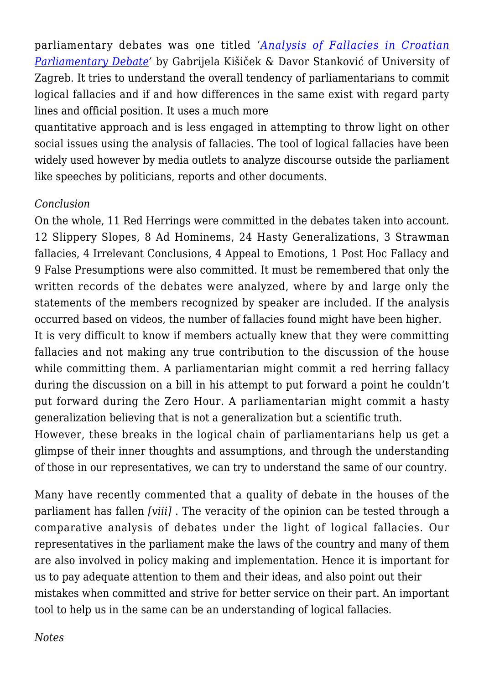parliamentary debates was one titled *'[Analysis of Fallacies in Croatian](http://rozenbergquarterly.com/issa-proceedings-2010-analysis-of-fallacies-in-croatian-parliamentary-debate/) [Parliamentary Debate](http://rozenbergquarterly.com/issa-proceedings-2010-analysis-of-fallacies-in-croatian-parliamentary-debate/)'* by Gabrijela Kišiček & Davor Stanković of University of Zagreb. It tries to understand the overall tendency of parliamentarians to commit logical fallacies and if and how differences in the same exist with regard party lines and official position. It uses a much more

quantitative approach and is less engaged in attempting to throw light on other social issues using the analysis of fallacies. The tool of logical fallacies have been widely used however by media outlets to analyze discourse outside the parliament like speeches by politicians, reports and other documents.

## *Conclusion*

On the whole, 11 Red Herrings were committed in the debates taken into account. 12 Slippery Slopes, 8 Ad Hominems, 24 Hasty Generalizations, 3 Strawman fallacies, 4 Irrelevant Conclusions, 4 Appeal to Emotions, 1 Post Hoc Fallacy and 9 False Presumptions were also committed. It must be remembered that only the written records of the debates were analyzed, where by and large only the statements of the members recognized by speaker are included. If the analysis occurred based on videos, the number of fallacies found might have been higher.

It is very difficult to know if members actually knew that they were committing fallacies and not making any true contribution to the discussion of the house while committing them. A parliamentarian might commit a red herring fallacy during the discussion on a bill in his attempt to put forward a point he couldn't put forward during the Zero Hour. A parliamentarian might commit a hasty generalization believing that is not a generalization but a scientific truth.

However, these breaks in the logical chain of parliamentarians help us get a glimpse of their inner thoughts and assumptions, and through the understanding of those in our representatives, we can try to understand the same of our country.

Many have recently commented that a quality of debate in the houses of the parliament has fallen *[viii]* . The veracity of the opinion can be tested through a comparative analysis of debates under the light of logical fallacies. Our representatives in the parliament make the laws of the country and many of them are also involved in policy making and implementation. Hence it is important for us to pay adequate attention to them and their ideas, and also point out their mistakes when committed and strive for better service on their part. An important tool to help us in the same can be an understanding of logical fallacies.

*Notes*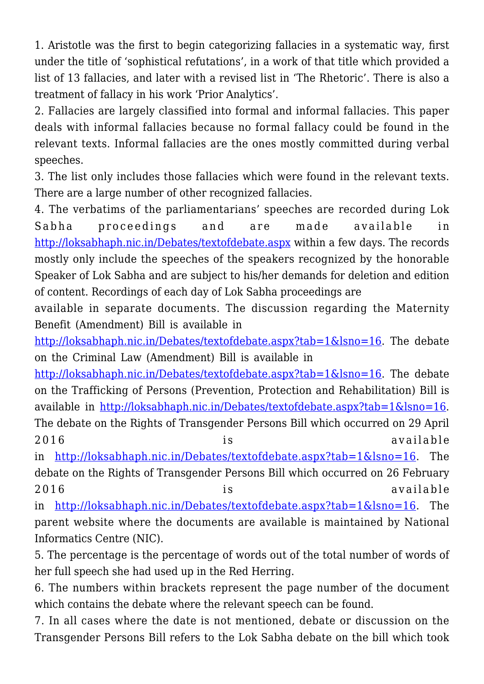1. Aristotle was the first to begin categorizing fallacies in a systematic way, first under the title of 'sophistical refutations', in a work of that title which provided a list of 13 fallacies, and later with a revised list in 'The Rhetoric'. There is also a treatment of fallacy in his work 'Prior Analytics'.

2. Fallacies are largely classified into formal and informal fallacies. This paper deals with informal fallacies because no formal fallacy could be found in the relevant texts. Informal fallacies are the ones mostly committed during verbal speeches.

3. The list only includes those fallacies which were found in the relevant texts. There are a large number of other recognized fallacies.

4. The verbatims of the parliamentarians' speeches are recorded during Lok Sabha proceedings and are made available in <http://loksabhaph.nic.in/Debates/textofdebate.aspx>within a few days. The records mostly only include the speeches of the speakers recognized by the honorable Speaker of Lok Sabha and are subject to his/her demands for deletion and edition of content. Recordings of each day of Lok Sabha proceedings are

available in separate documents. The discussion regarding the Maternity Benefit (Amendment) Bill is available in

[http://loksabhaph.nic.in/Debates/textofdebate.aspx?tab=1&lsno=16.](http://loksabhaph.nic.in/Debates/textofdebate.aspx?tab=1&lsno=16) The debate on the Criminal Law (Amendment) Bill is available in

[http://loksabhaph.nic.in/Debates/textofdebate.aspx?tab=1&lsno=16.](http://loksabhaph.nic.in/Debates/textofdebate.aspx?tab=1&lsno=16) The debate on the Trafficking of Persons (Prevention, Protection and Rehabilitation) Bill is available in [http://loksabhaph.nic.in/Debates/textofdebate.aspx?tab=1&lsno=16.](http://loksabhaph.nic.in/Debates/textofdebate.aspx?tab=1&lsno=16) The debate on the Rights of Transgender Persons Bill which occurred on 29 April 2016 is available

in<http://loksabhaph.nic.in/Debates/textofdebate.aspx?tab=1&lsno=16>. The debate on the Rights of Transgender Persons Bill which occurred on 26 February 2016 is available

in<http://loksabhaph.nic.in/Debates/textofdebate.aspx?tab=1&lsno=16>. The parent website where the documents are available is maintained by National Informatics Centre (NIC).

5. The percentage is the percentage of words out of the total number of words of her full speech she had used up in the Red Herring.

6. The numbers within brackets represent the page number of the document which contains the debate where the relevant speech can be found.

7. In all cases where the date is not mentioned, debate or discussion on the Transgender Persons Bill refers to the Lok Sabha debate on the bill which took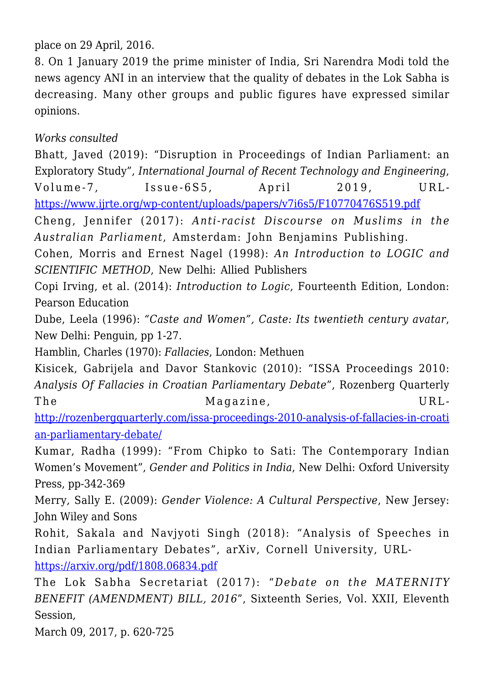place on 29 April, 2016.

8. On 1 January 2019 the prime minister of India, Sri Narendra Modi told the news agency ANI in an interview that the quality of debates in the Lok Sabha is decreasing. Many other groups and public figures have expressed similar opinions.

# *Works consulted*

Bhatt, Javed (2019): "Disruption in Proceedings of Indian Parliament: an Exploratory Study", *International Journal of Recent Technology and Engineering*, Volume-7, Issue-6S5, April 2019, URL<https://www.ijrte.org/wp-content/uploads/papers/v7i6s5/F10770476S519.pdf>

Cheng, Jennifer (2017): *Anti-racist Discourse on Muslims in the Australian Parliament*, Amsterdam: John Benjamins Publishing.

Cohen, Morris and Ernest Nagel (1998): *An Introduction to LOGIC and SCIENTIFIC METHOD*, New Delhi: Allied Publishers

Copi Irving, et al. (2014): *Introduction to Logic*, Fourteenth Edition, London: Pearson Education

Dube, Leela (1996): *"Caste and Women", Caste: Its twentieth century avatar*, New Delhi: Penguin, pp 1-27.

Hamblin, Charles (1970): *Fallacies*, London: Methuen

Kisicek, Gabrijela and Davor Stankovic (2010): "ISSA Proceedings 2010: *Analysis Of Fallacies in Croatian Parliamentary Debate*", Rozenberg Quarterly The Magazine, URL-

[http://rozenbergquarterly.com/issa-proceedings-2010-analysis-of-fallacies-in-croati](http://rozenbergquarterly.com/issa-proceedings-2010-analysis-of-fallacies-in-croatian-parliamentary-debate/) [an-parliamentary-debate/](http://rozenbergquarterly.com/issa-proceedings-2010-analysis-of-fallacies-in-croatian-parliamentary-debate/)

Kumar, Radha (1999): "From Chipko to Sati: The Contemporary Indian Women's Movement", *Gender and Politics in India*, New Delhi: Oxford University Press, pp-342-369

Merry, Sally E. (2009): *Gender Violence: A Cultural Perspective*, New Jersey: John Wiley and Sons

Rohit, Sakala and Navjyoti Singh (2018): "Analysis of Speeches in Indian Parliamentary Debates", arXiv, Cornell University, URL<https://arxiv.org/pdf/1808.06834.pdf>

The Lok Sabha Secretariat (2017): "*Debate on the MATERNITY BENEFIT (AMENDMENT) BILL, 2016*", Sixteenth Series, Vol. XXII, Eleventh Session,

March 09, 2017, p. 620-725